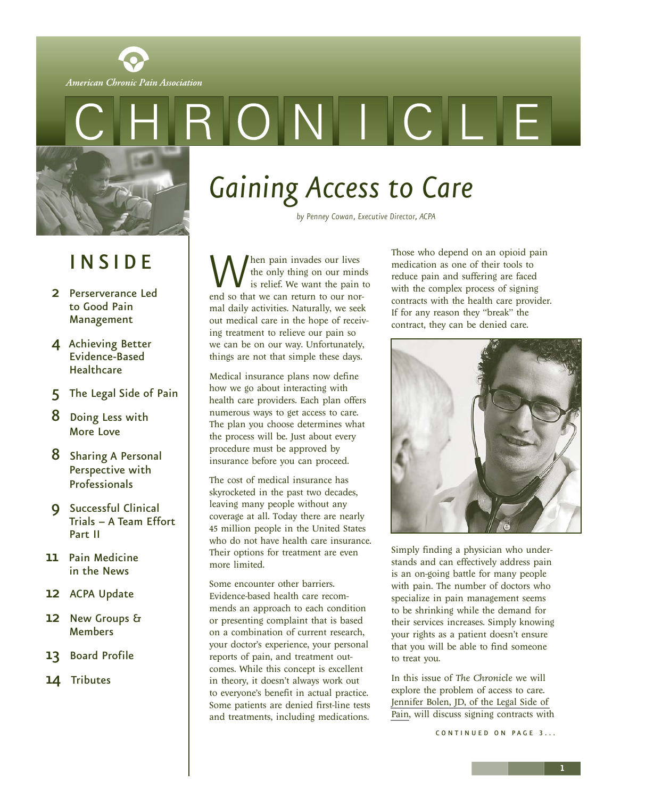<span id="page-0-1"></span><span id="page-0-0"></span>

### I N S I D E

- 2 [Perserverance Led](#page-1-0)  to Good Pain Management
- 4 [Achieving Better](#page-3-0) Evidence-Based **Healthcare**
- 5 [The Legal Side of Pain](#page-4-0)
- 8 [Doing Less with](#page-7-0) More Love
- 8 [Sharing A Personal](#page-7-0)  Perspective with Professionals
- 9 Successful Clinical [Trials – A Team Effort](#page-8-0) Part II
- 11 [Pain Medicine](#page-10-0) in the News
- 12 ACPA [Update](#page-11-0)
- 12 [New Groups &](#page-11-0) **Members**
- 13 [Board Profile](#page-12-0)
- 14 [Tributes](#page-13-0)

# *Gaining Access to Care*

*by Penney Cowan, Executive Director, ACPA*

When pain invades our lives<br>the only thing on our mind<br>end so that we can return to our northe only thing on our minds is relief. We want the pain to mal daily activities. Naturally, we seek out medical care in the hope of receiving treatment to relieve our pain so we can be on our way. Unfortunately, things are not that simple these days.

Medical insurance plans now define how we go about interacting with health care providers. Each plan offers numerous ways to get access to care. The plan you choose determines what the process will be. Just about every procedure must be approved by insurance before you can proceed.

The cost of medical insurance has skyrocketed in the past two decades, leaving many people without any coverage at all. Today there are nearly 45 million people in the United States who do not have health care insurance. Their options for treatment are even more limited.

Some encounter other barriers. Evidence-based health care recommends an approach to each condition or presenting complaint that is based on a combination of current research, your doctor's experience, your personal reports of pain, and treatment outcomes. While this concept is excellent in theory, it doesn't always work out to everyone's benefit in actual practice. Some patients are denied first-line tests and treatments, including medications.

Those who depend on an opioid pain medication as one of their tools to reduce pain and suffering are faced with the complex process of signing contracts with the health care provider. If for any reason they "break" the contract, they can be denied care.



Simply finding a physician who understands and can effectively address pain is an on-going battle for many people with pain. The number of doctors who specialize in pain management seems to be shrinking while the demand for their services increases. Simply knowing your rights as a patient doesn't ensure that you will be able to find someone to treat you.

In this issue of *The Chronicle* we will explore the problem of access to care. [Jennifer Bolen, JD, of the Legal Side of](http://www.legalsideofpain.com/) [Pain,](http://www.legalsideofpain.com/) will discuss signing contracts with

CONTINUED ON PAGE 3...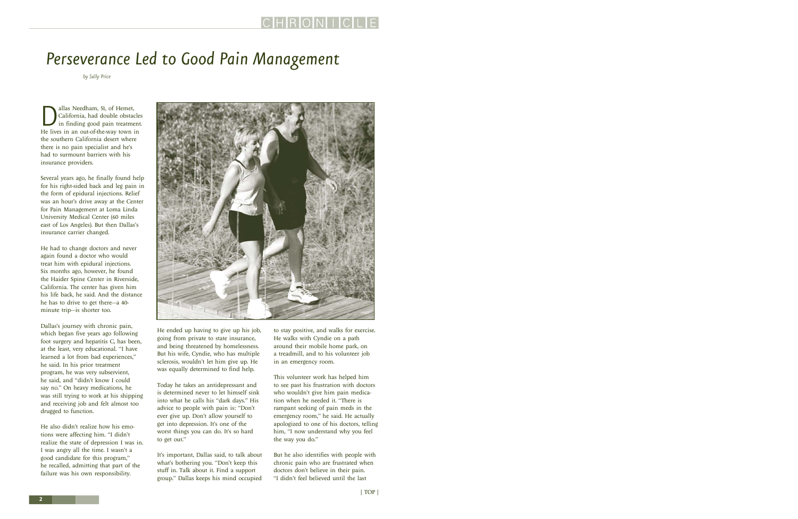# <span id="page-1-0"></span>*Perseverance Led to Good Pain Management*

*by Sally Price*

**D**<br>California, had double obstacle<br>in finding good pain treatmen<br>He lives in an out-of-the-way town in California, had double obstacles in finding good pain treatment. the southern California desert where there is no pain specialist and he's had to surmount barriers with his insurance providers.

Several years ago, he finally found help for his right-sided back and leg pain in the form of epidural injections. Relief was an hour's drive away at the Center for Pain Management at Loma Linda University Medical Center (60 miles east of Los Angeles). But then Dallas's insurance carrier changed.

He had to change doctors and never again found a doctor who would treat him with epidural injections. Six months ago, however, he found the Haider Spine Center in Riverside, California. The center has given him his life back, he said. And the distance he has to drive to get there—a 40 minute trip—is shorter too.

Dallas's journey with chronic pain, which began five years ago following foot surgery and hepatitis C, has been, at the least, very educational. "I have learned a lot from bad experiences," he said. In his prior treatment program, he was very subservient, he said, and "didn't know I could say no." On heavy medications, he was still trying to work at his shipping and receiving job and felt almost too drugged to function.

He also didn't realize how his emotions were affecting him. "I didn't realize the state of depression I was in. I was angry all the time. I wasn't a good candidate for this program," he recalled, admitting that part of the failure was his own responsibility.



He ended up having to give up his job, going from private to state insurance, and being threatened by homelessness. But his wife, Cyndie, who has multiple sclerosis, wouldn't let him give up. He was equally determined to find help.

Today he takes an antidepressant and is determined never to let himself sink into what he calls his "dark days." His advice to people with pain is: "Don't ever give up. Don't allow yourself to get into depression. It's one of the worst things you can do. It's so hard to get out."

It's important, Dallas said, to talk about what's bothering you. "Don't keep this stuff in. Talk about it. Find a support group." Dallas keeps his mind occupied

to stay positive, and walks for exercise. He walks with Cyndie on a path around their mobile home park, on a treadmill, and to his volunteer job in an emergency room.

This volunteer work has helped him to see past his frustration with doctors who wouldn't give him pain medication when he needed it. "There is rampant seeking of pain meds in the emergency room," he said. He actually apologized to one of his doctors, telling him, "I now understand why you feel the way you do."

But he also identifies with people with chronic pain who are frustrated when doctors don't believe in their pain. "I didn't feel believed until the last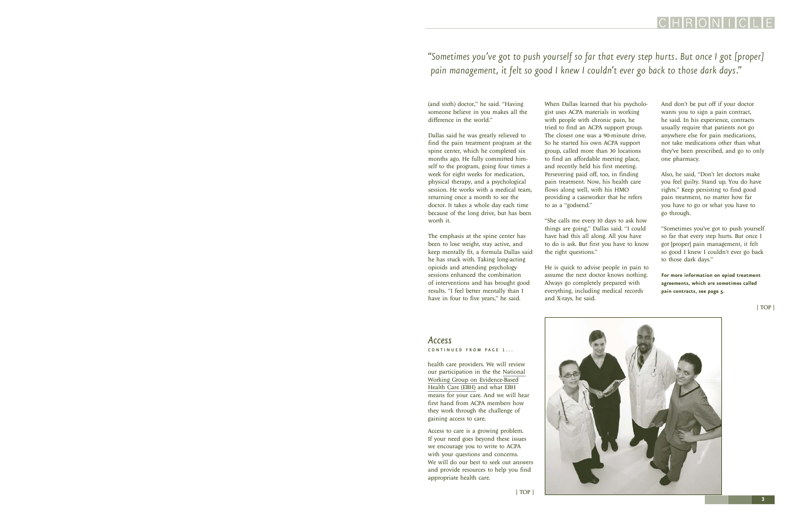<span id="page-2-0"></span>*"Sometimes you've got to push yourself so far that every step hurts. But once I got [proper] pain management, it felt so good I knew I couldn't ever go back to those dark days."*

(and sixth) doctor," he said. "Having someone believe in you makes all the difference in the world."

Dallas said he was greatly relieved to find the pain treatment program at the spine center, which he completed six months ago. He fully committed himself to the program, going four times a week for eight weeks for medication, physical therapy, and a psychological session. He works with a medical team, returning once a month to see the doctor. It takes a whole day each time because of the long drive, but has been worth it.

The emphasis at the spine center has been to lose weight, stay active, and keep mentally fit, a formula Dallas said he has stuck with. Taking long-acting opioids and attending psychology sessions enhanced the combination of interventions and has brought good results. "I feel better mentally than I have in four to five years," he said.

When Dallas learned that his psychologist uses ACPA materials in working with people with chronic pain, he tried to find an ACPA support group. The closest one was a 90-minute drive. So he started his own ACPA support group, called more than 30 locations to find an affordable meeting place, and recently held his first meeting. Persevering paid off, too, in finding pain treatment. Now, his health care flows along well, with his HMO providing a caseworker that he refers to as a "godsend."

"She calls me every 10 days to ask how things are going," Dallas said. "I could have had this all along. All you have to do is ask. But first you have to know the right questions."

He is quick to advise people in pain to assume the next doctor knows nothing. Always go completely prepared with everything, including medical records and X-rays, he said.

And don't be put off if your doctor wants you to sign a pain contract, he said. In his experience, contracts usually require that patients not go anywhere else for pain medications, not take medications other than what they've been prescribed, and go to only one pharmacy.

Also, he said, "Don't let doctors make you feel guilty. Stand up. You do have rights." Keep persisting to find good pain treatment, no matter how far you have to go or what you have to go through.

"Sometimes you've got to push yourself so far that every step hurts. But once I got [proper] pain management, it felt so good I knew I couldn't ever go back to those dark days."

**For more information on opiod treatment agreements, which are sometimes called pain contracts, see page 5.**

[| TOP |](#page-0-1)

### *Access*  CONTINUED FROM PAGE 1...

health care providers. We will review our participation in the the [National](http://www.evidencebasedhealthcare.org/index.cfm) [Working Group on Evidence-Based](http://www.evidencebasedhealthcare.org/index.cfm) [Health Care \(EBH\)](http://www.evidencebasedhealthcare.org/index.cfm) and what EBH means for your care. And we will hear first hand from ACPA members how they work through the challenge of gaining access to care.

Access to care is a growing problem. If your need goes beyond these issues we encourage you to write to ACPA with your questions and concerns. We will do our best to seek out answers and provide resources to help you find appropriate health care.

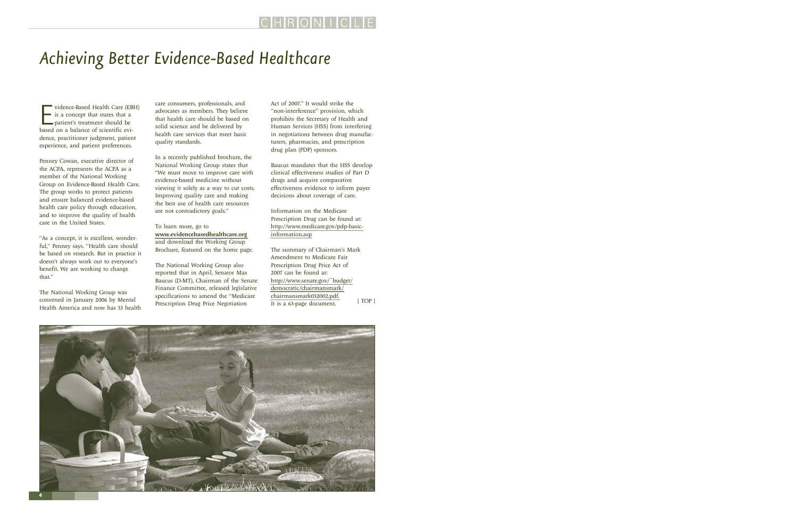# <span id="page-3-0"></span>*Achieving Better Evidence-Based Healthcare*

vidence-Based Health Care (EB<br>
is a concept that states that a<br>
patient's treatment should be<br>
based on a balance of scientific evividence-Based Health Care (EBH) is a concept that states that a patient's treatment should be dence, practitioner judgment, patient experience, and patient preferences.

Penney Cowan, executive director of the ACPA, represents the ACPA as a member of the National Working Group on Evidence-Based Health Care. The group works to protect patients and ensure balanced evidence-based health care policy through education, and to improve the quality of health care in the United States.

"As a concept, it is excellent, wonderful," Penney says. "Health care should be based on research. But in practice it doesn't always work out to everyone's benefit. We are working to change that."

The National Working Group was convened in January 2006 by Mental Health America and now has 33 health

care consumers, professionals, and advocates as members. They believe that health care should be based on solid science and be delivered by health care services that meet basic quality standards.

In a recently published brochure, the National Working Group states that "We must move to improve care with evidence-based medicine without viewing it solely as a way to cut costs. Improving quality care and making the best use of health care resources are not contradictory goals."

To learn more, go to <www.evidencebasedhealthcare.org> and download the Working Group Brochure, featured on the home page.

The National Working Group also reported that in April, Senator Max Baucus (D-MT), Chairman of the Senate Finance Committee, released legislative specifications to amend the "Medicare Prescription Drug Price Negotiation

Act of 2007." It would strike the "non-interference" provision, which prohibits the Secretary of Health and Human Services (HSS) from interfering in negotiations between drug manufacturers, pharmacies, and prescription drug plan (PDP) sponsors.

Baucus mandates that the HSS develop clinical effectiveness studies of Part D drugs and acquire comparative effectiveness evidence to inform payer decisions about coverage of care.

Information on the Medicare Prescription Drug can be found at: [http://www.medicare.gov/pdp-basic](http://www.medicare.gov/pdp-basicinformation. asp)[information.asp](http://www.medicare.gov/pdp-basicinformation. asp)

The summary of Chairman's Mark Amendment to Medicare Fair Prescription Drug Price Act of 2007 can be found at: [http://www.senate.gov/~budget/](http://www.senate.gov/~budget/ democratic/chairmansmark/ chairmansmark032002.pdf) [democratic/chairmansmark/](http://www.senate.gov/~budget/ democratic/chairmansmark/ chairmansmark032002.pdf) [chairmansmark032002.pdf.](http://www.senate.gov/~budget/ democratic/chairmansmark/ chairmansmark032002.pdf) It is a 63-page document. [| TOP |](#page-0-1)

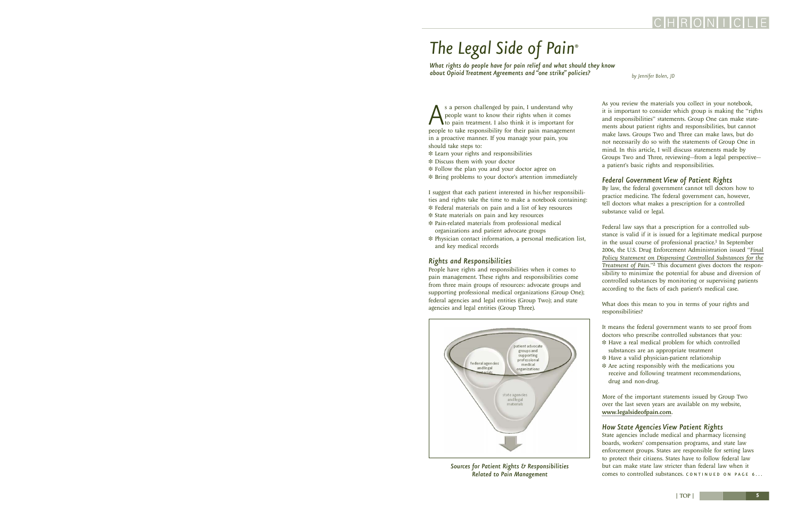# <span id="page-4-0"></span>*The Legal Side of Pain® The Legal Side of Pain®*

*What rights do people have for pain relief and what should they know about Opioid Treatment Agreements and "one strike" policies?*

*by Jennifer Bolen, JD*

As a person challenged by pain, I understand why<br>people want to know their rights when it comes<br>to pain treatment. I also think it is important for<br>people to take responsibility for their pain management people want to know their rights when it comes to pain treatment. I also think it is important for people to take responsibility for their pain management in a proactive manner. If you manage your pain, you should take steps to:

- ❉ Learn your rights and responsibilities
- ❉ Discuss them with your doctor
- ❉ Follow the plan you and your doctor agree on
- ❉ Bring problems to your doctor's attention immediately

I suggest that each patient interested in his/her responsibilities and rights take the time to make a notebook containing:

- ❉ Federal materials on pain and a list of key resources
- ❉ State materials on pain and key resources
- ❉ Pain-related materials from professional medical organizations and patient advocate groups
- ❉ Physician contact information, a personal medication list, and key medical records

### *Rights and Responsibilities*

People have rights and responsibilities when it comes to pain management. These rights and responsibilities come from three main groups of resources: advocate groups and supporting professional medical organizations (Group One); federal agencies and legal entities (Group Two); and state agencies and legal entities (Group Three).



*Sources for Patient Rights & Responsibilities* 

As you review the materials you collect in your notebook, it is important to consider which group is making the "rights and responsibilities" statements. Group One can make statements about patient rights and responsibilities, but cannot make laws. Groups Two and Three can make laws, but do not necessarily do so with the statements of Group One in mind. In this article, I will discuss statements made by Groups Two and Three, reviewing—from a legal perspective a patient's basic rights and responsibilities.

### *Federal Government View of Patient Rights*

By law, the federal government cannot tell doctors how to practice medicine. The federal government can, however, tell doctors what makes a prescription for a controlled substance valid or legal.

Federal law says that a prescription for a controlled substance is valid if it is issued for a legitimate medical purpose in the usual course of professional practice.<sup>1</sup> In September 2006, the U.S. Drug Enforcement Administration issued "*[Final](http://a257.g.akamaitech.net/7/257/2422/01jan20061800/edocket.access.gpo.gov/2006/E6-14517.htm) [Policy Statement on Dispensing Controlled Substances for the](http://a257.g.akamaitech.net/7/257/2422/01jan20061800/edocket.access.gpo.gov/2006/E6-14517.htm) [Treatment of Pain.](http://a257.g.akamaitech.net/7/257/2422/01jan20061800/edocket.access.gpo.gov/2006/E6-14517.htm)*"2 This document gives doctors the responsibility to minimize the potential for abuse and diversion of controlled substances by monitoring or supervising patients according to the facts of each patient's medical case.

What does this mean to you in terms of your rights and responsibilities?

It means the federal government wants to see proof from doctors who prescribe controlled substances that you: ❉ Have a real medical problem for which controlled

- substances are an appropriate treatment
- ❉ Have a valid physician-patient relationship
- ❉ Are acting responsibly with the medications you receive and following treatment recommendations, drug and non-drug.

More of the important statements issued by Group Two over the last seven years are available on my website, <www.legalsideofpain.com>.

### *How State Agencies View Patient Rights*

State agencies include medical and pharmacy licensing boards, workers' compensation programs, and state law enforcement groups. States are responsible for setting laws to protect their citizens. States have to follow federal law but can make state law stricter than federal law when it Related to Pain Management **Comes to controlled substances.** CONTINUED ON PAGE 6...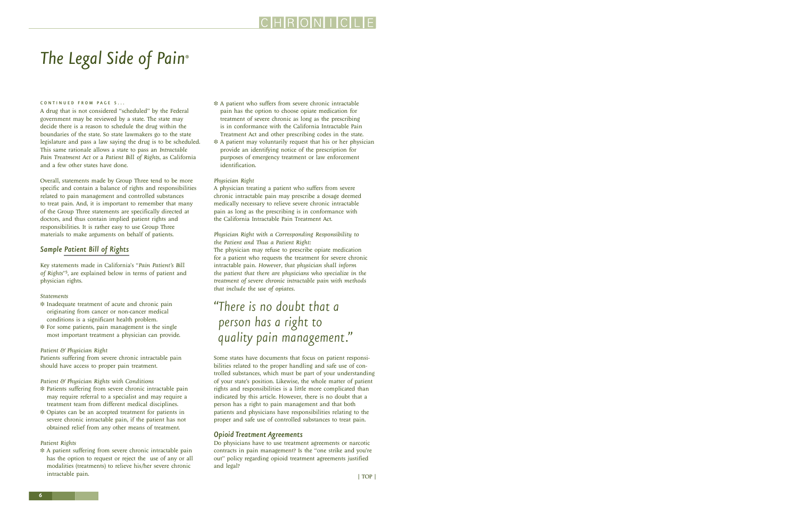# <span id="page-5-0"></span>*The Legal Side of Pain®*

#### CONTINUED FROM PAGE 5...

A drug that is not considered "scheduled" by the Federal government may be reviewed by a state. The state may decide there is a reason to schedule the drug within the boundaries of the state. So state lawmakers go to the state legislature and pass a law saying the drug is to be scheduled. This same rationale allows a state to pass an *Intractable Pain Treatment Act* or a *Patient Bill of Rights*, as California and a few other states have done.

Overall, statements made by Group Three tend to be more specific and contain a balance of rights and responsibilities related to pain management and controlled substances to treat pain. And, it is important to remember that many of the Group Three statements are specifically directed at doctors, and thus contain implied patient rights and responsibilities. It is rather easy to use Group Three materials to make arguments on behalf of patients.

### *Sample [Patient Bill of Rights](http://www.paincare.org/pain_management/advocacy/ca_bill.html)*

Key statements made in California's "*Pain Patient's Bill of Rights*"3, are explained below in terms of patient and physician rights.

### *Statements*

- ❉ Inadequate treatment of acute and chronic pain originating from cancer or non-cancer medical conditions is a significant health problem.
- ❉ For some patients, pain management is the single most important treatment a physician can provide.

#### *Patient & Physician Right*

Patients suffering from severe chronic intractable pain should have access to proper pain treatment.

### *Patient & Physician Rights with Conditions*

- ❉ Patients suffering from severe chronic intractable pain may require referral to a specialist and may require a treatment team from different medical disciplines.
- ❉ Opiates can be an accepted treatment for patients in severe chronic intractable pain, if the patient has not obtained relief from any other means of treatment.

#### *Patient Rights*

❉ A patient suffering from severe chronic intractable pain has the option to request or reject the use of any or all modalities (treatments) to relieve his/her severe chronic intractable pain.

- ❉ A patient who suffers from severe chronic intractable pain has the option to choose opiate medication for treatment of severe chronic as long as the prescribing is in conformance with the California Intractable Pain Treatment Act and other prescribing codes in the state.
- ❉ A patient may voluntarily request that his or her physician provide an identifying notice of the prescription for purposes of emergency treatment or law enforcement identification.

### *Physician Right*

A physician treating a patient who suffers from severe chronic intractable pain may prescribe a dosage deemed medically necessary to relieve severe chronic intractable pain as long as the prescribing is in conformance with the California Intractable Pain Treatment Act.

### *Physician Right with a Corresponding Responsibility to the Patient and Thus a Patient Right:*

The physician may refuse to prescribe opiate medication for a patient who requests the treatment for severe chronic intractable pain. *However, that physician shall inform the patient that there are physicians who specialize in the treatment of severe chronic intractable pain with methods that include the use of opiates.*

### *"There is no doubt that a person has a right to quality pain management."*

Some states have documents that focus on patient responsibilities related to the proper handling and safe use of controlled substances, which must be part of your understanding of your state's position. Likewise, the whole matter of patient rights and responsibilities is a little more complicated than indicated by this article. However, there is no doubt that a person has a right to pain management and that both patients and physicians have responsibilities relating to the proper and safe use of controlled substances to treat pain.

### *Opioid Treatment Agreements*

Do physicians have to use treatment agreements or narcotic contracts in pain management? Is the "one strike and you're out" policy regarding opioid treatment agreements justified and legal?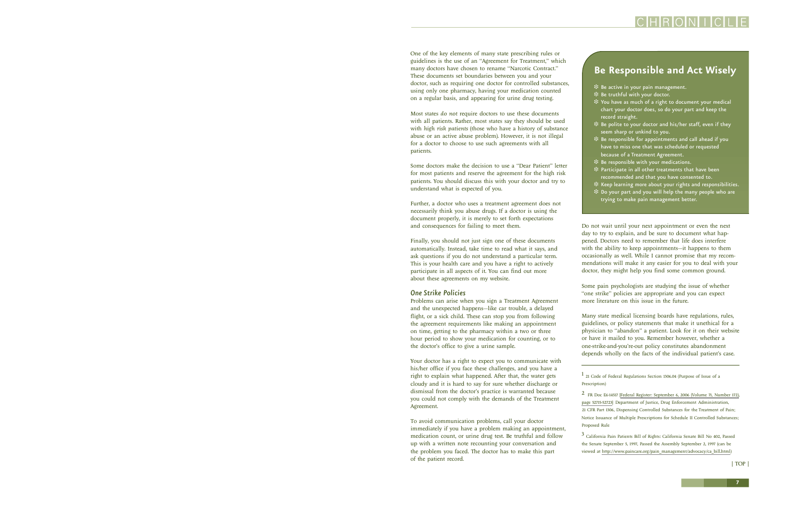One of the key elements of many state prescribing rules or guidelines is the use of an "Agreement for Treatment," which many doctors have chosen to rename "Narcotic Contract." These documents set boundaries between you and your doctor, such as requiring one doctor for controlled substances, using only one pharmacy, having your medication counted on a regular basis, and appearing for urine drug testing.

Most states *do not* require doctors to use these documents with all patients. Rather, most states say they should be used with *high risk patients* (those who have a history of substance abuse or an active abuse problem). However, it is not illegal for a doctor to choose to use such agreements with all patients.

Some doctors make the decision to use a "Dear Patient" letter for most patients and reserve the agreement for the high risk patients. You should discuss this with your doctor and try to understand what is expected of you.

Further, a doctor who uses a treatment agreement does not necessarily think you abuse drugs. If a doctor is using the document properly, it is merely to set forth expectations and consequences for failing to meet them.

Finally, you should not just sign one of these documents automatically. Instead, take time to read what it says, and ask questions if you do not understand a particular term. This is your health care and you have a right to actively participate in all aspects of it. You can find out more about these agreements on my website.

### *One Strike Policies*

Problems can arise when you sign a Treatment Agreement and the unexpected happens—like car trouble, a delayed flight, or a sick child. These can stop you from following the agreement requirements like making an appointment on time, getting to the pharmacy within a two or three hour period to show your medication for counting, or to the doctor's office to give a urine sample.

Your doctor has a right to expect you to communicate with his/her office if you face these challenges, and you have a right to explain what happened. After that, the water gets cloudy and it is hard to say for sure whether discharge or dismissal from the doctor's practice is warranted because you could not comply with the demands of the Treatment Agreement.

To avoid communication problems, call your doctor immediately if you have a problem making an appointment, medication count, or urine drug test. Be truthful and follow up with a written note recounting your conversation and the problem you faced. The doctor has to make this part of the patient record.

### **Be Responsible and Act Wisely**

- ❉ Be active in your pain management.
- ❉ Be truthful with your doctor.
- ❉ You have as much of a right to document your medical chart your doctor does, so do your part and keep the record straight.
- $\ddot{\textbf{*}}$  Be polite to your doctor and his/her staff, even if they seem sharp or unkind to you.
- ❉ Be responsible for appointments and call ahead if you have to miss one that was scheduled or requested because of a Treatment Agreement.
- ❉ Be responsible with your medications.
- ❉ Participate in all other treatments that have been recommended and that you have consented to.
- ❉ Keep learning more about your rights and responsibilities.
- ❉ Do your part and you will help the many people who are trying to make pain management better.

Do not wait until your next appointment or even the next day to try to explain, and be sure to document what happened. Doctors need to remember that life does interfere with the ability to keep appointments—it happens to them occasionally as well. While I cannot promise that my recommendations will make it any easier for you to deal with your doctor, they might help you find some common ground.

Some pain psychologists are studying the issue of whether "one strike" policies are appropriate and you can expect more literature on this issue in the future.

Many state medical licensing boards have regulations, rules, guidelines, or policy statements that make it unethical for a physician to "abandon" a patient. Look for it on their website or have it mailed to you. Remember however, whether a one-strike-and-you're-out policy constitutes abandonment depends wholly on the facts of the individual patient's case.

1 21 Code of Federal Regulations Section 1306.04 (Purpose of Issue of a Prescription)

2 FR Doc E6-14517 [[Federal Register: September 6, 2006 \(Volume 71, Number 172\),](http://a257.g.akamaitech.net/7/257/2422/01jan20061800/edocket.access.gpo.gov/2006/E6-14517.htm) [page 52715-52723\]](http://a257.g.akamaitech.net/7/257/2422/01jan20061800/edocket.access.gpo.gov/2006/E6-14517.htm) Department of Justice, Drug Enforcement Administration, 21 CFR Part 1306, Dispensing Controlled Substances for the Treatment of Pain; Notice Issuance of Multiple Prescriptions for Schedule II Controlled Substances; Proposed Rule

3 California Pain Patients Bill of Rights: California Senate Bill No 402, Passed the Senate September 5, 1997, Passed the Assembly September 2, 1997 (can be viewed at [http://www.paincare.org/pain\\_management/advocacy/ca\\_bill.html](http://www.paincare.org/pain_management/advocacy/ca_bill.html))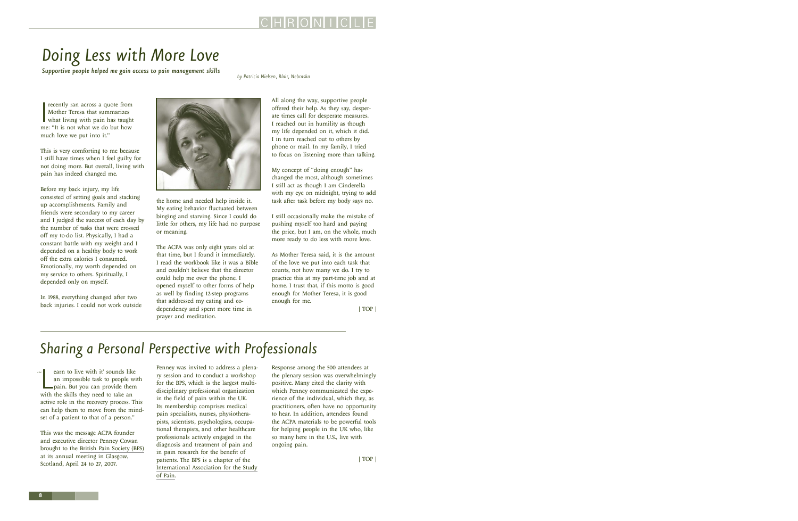**8**

 $^{\circ\circ}$ 

# <span id="page-7-0"></span>*Doing Less with More Love*

*by Patricia Nielsen, Blair, Nebraska Supportive people helped me gain access to pain management skills*

recently ran across a quote from<br>Mother Teresa that summarizes<br>what living with pain has taugh<br>me: "It is not what we do but how recently ran across a quote from Mother Teresa that summarizes what living with pain has taught much love we put into it."

This is very comforting to me because I still have times when I feel guilty for not doing more. But overall, living with pain has indeed changed me.

Before my back injury, my life consisted of setting goals and stacking up accomplishments. Family and friends were secondary to my career and I judged the success of each day by the number of tasks that were crossed off my to-do list. Physically, I had a constant battle with my weight and I depended on a healthy body to work off the extra calories I consumed. Emotionally, my worth depended on my service to others. Spiritually, I depended only on myself.

In 1988, everything changed after two back injuries. I could not work outside

earn to live with it' sounds lik<br>an impossible task to people v<br>pain. But you can provide the<br>with the skills they need to take an earn to live with it' sounds like an impossible task to people with pain. But you can provide them

active role in the recovery process. This can help them to move from the mindset of a patient to that of a person."

This was the message ACPA founder and executive director Penney Cowan brought to the [British Pain Society \(BPS\)](http://www.britishpainsociety.org/) at its annual meeting in Glasgow, Scotland, April 24 to 27, 2007.

Penney was invited to address a plenary session and to conduct a workshop for the BPS, which is the largest multidisciplinary professional organization in the field of pain within the UK. Its membership comprises medical pain specialists, nurses, physiotherapists, scientists, psychologists, occupational therapists, and other healthcare professionals actively engaged in the diagnosis and treatment of pain and in pain research for the benefit of patients. The BPS is a chapter of the *Sharing a Personal Perspective with Professionals*

[International Association for the Study](http://www.iasp-pain.org/)

[of Pain](http://www.iasp-pain.org/).

Response among the 500 attendees at the plenary session was overwhelmingly positive. Many cited the clarity with which Penney communicated the experience of the individual, which they, as practitioners, often have no opportunity to hear. In addition, attendees found the ACPA materials to be powerful tools for helping people in the UK who, like so many here in the U.S., live with ongoing pain.

All along the way, supportive people offered their help. As they say, desperate times call for desperate measures. I reached out in humility as though my life depended on it, which it did. I in turn reached out to others by phone or mail. In my family, I tried to focus on listening more than talking.

My concept of "doing enough" has changed the most, although sometimes I still act as though I am Cinderella with my eye on midnight, trying to add task after task before my body says no.

I still occasionally make the mistake of pushing myself too hard and paying the price, but I am, on the whole, much more ready to do less with more love.

As Mother Teresa said, it is the amount of the love we put into each task that counts, not how many we do. I try to practice this at my part-time job and at home. I trust that, if this motto is good enough for Mother Teresa, it is good enough for me.

[| TOP |](#page-0-1)

the home and needed help inside it. My eating behavior fluctuated between binging and starving. Since I could do little for others, my life had no purpose or meaning.

The ACPA was only eight years old at that time, but I found it immediately. I read the workbook like it was a Bible and couldn't believe that the director could help me over the phone. I opened myself to other forms of help as well by finding 12-step programs that addressed my eating and codependency and spent more time in prayer and meditation.

[| TOP |](#page-0-1)



### HRONIC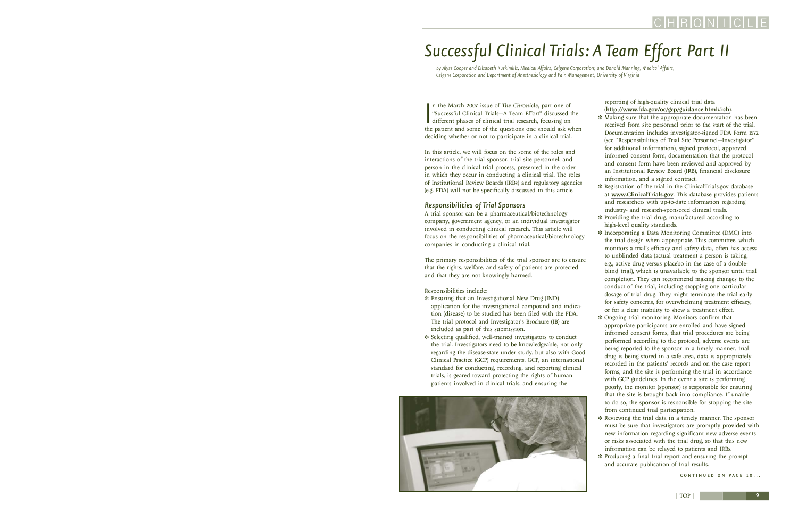# <span id="page-8-0"></span>*Successful Clinical Trials: A Team Effort Part II*

*by Alyse Cooper and Elisabeth Kurkimilis, Medical Affairs, Celgene Corporation; and Donald Manning, Medical Affairs, Celgene Corporation and Department of Anesthesiology and Pain Management, University of Virginia*

In the March 2007 issue of The Chronicle, part one of "Successful Clinical Trials--A Team Effort" discussed the different phases of clinical trial research, focusing on the patient and some of the questions one should ask n the March 2007 issue of *The Chronicle*, part one of "Successful Clinical Trials—A Team Effort" discussed the different phases of clinical trial research, focusing on deciding whether or not to participate in a clinical trial.

In this article, we will focus on the some of the roles and interactions of the trial sponsor, trial site personnel, and person in the clinical trial process, presented in the order in which they occur in conducting a clinical trial. The roles of Institutional Review Boards (IRBs) and regulatory agencies (e.g. FDA) will not be specifically discussed in this article.

### *Responsibilities of Trial Sponsors*

A trial sponsor can be a pharmaceutical/biotechnology company, government agency, or an individual investigator involved in conducting clinical research. This article will focus on the responsibilities of pharmaceutical/biotechnology companies in conducting a clinical trial.

The primary responsibilities of the trial sponsor are to ensure that the rights, welfare, and safety of patients are protected and that they are not knowingly harmed.

### Responsibilities include:

- ❉ Ensuring that an Investigational New Drug (IND) application for the investigational compound and indication (disease) to be studied has been filed with the FDA. The trial protocol and Investigator's Brochure (IB) are included as part of this submission.
- ❉ Selecting qualified, well-trained investigators to conduct the trial. Investigators need to be knowledgeable, not only regarding the disease-state under study, but also with Good Clinical Practice (GCP) requirements. GCP, an international standard for conducting, recording, and reporting clinical trials, is geared toward protecting the rights of human patients involved in clinical trials, and ensuring the



reporting of high-quality clinical trial data (<http://www.fda.gov/oc/gcp/guidance.html#ich>).

- ❉ Making sure that the appropriate documentation has been received from site personnel prior to the start of the trial. Documentation includes investigator-signed FDA Form 1572 (see "Responsibilities of Trial Site Personnel—Investigator" for additional information), signed protocol, approved informed consent form, documentation that the protocol and consent form have been reviewed and approved by an Institutional Review Board (IRB), financial disclosure information, and a signed contract.
- ❉ Registration of the trial in the ClinicalTrials.gov database at <www.ClinicalTrials.gov>. This database provides patients and researchers with up-to-date information regarding industry- and research-sponsored clinical trials.
- ❉ Providing the trial drug, manufactured according to high-level quality standards.
- ❉ Incorporating a Data Monitoring Committee (DMC) into the trial design when appropriate. This committee, which monitors a trial's efficacy and safety data, often has access to unblinded data (actual treatment a person is taking, e.g., active drug versus placebo in the case of a doubleblind trial), which is unavailable to the sponsor until trial completion. They can recommend making changes to the conduct of the trial, including stopping one particular dosage of trial drug. They might terminate the trial early for safety concerns, for overwhelming treatment efficacy, or for a clear inability to show a treatment effect.
- ❉ Ongoing trial monitoring. Monitors confirm that appropriate participants are enrolled and have signed informed consent forms, that trial procedures are being performed according to the protocol, adverse events are being reported to the sponsor in a timely manner, trial drug is being stored in a safe area, data is appropriately recorded in the patients' records and on the case report forms, and the site is performing the trial in accordance with GCP guidelines. In the event a site is performing poorly, the monitor (sponsor) is responsible for ensuring that the site is brought back into compliance. If unable to do so, the sponsor is responsible for stopping the site from continued trial participation.
- ❉ Reviewing the trial data in a timely manner. The sponsor must be sure that investigators are promptly provided with new information regarding significant new adverse events or risks associated with the trial drug, so that this new information can be relayed to patients and IRBs.
- ❉ Producing a final trial report and ensuring the prompt and accurate publication of trial results.

CONTINUED ON PAGE 10...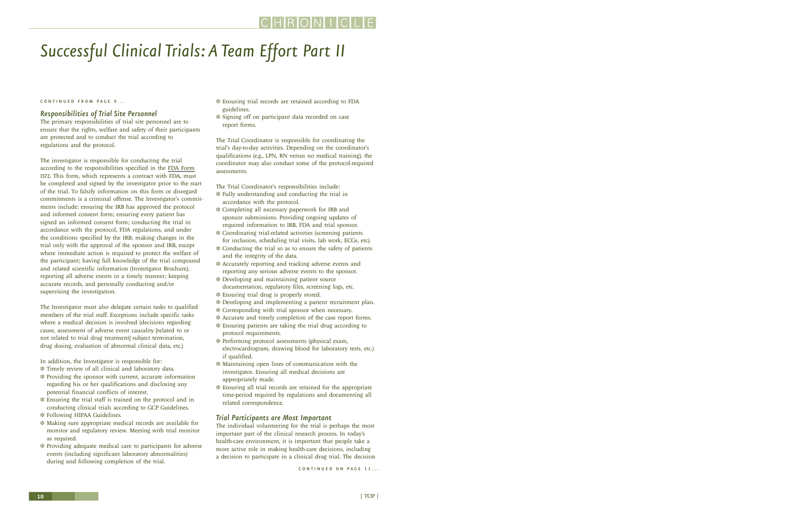### HRONII

# <span id="page-9-0"></span>*Successful Clinical Trials: A Team Effort Part II*

### CONTINUED FROM PAGE 9...

### *Responsibilities of Trial Site Personnel*

The primary responsibilities of trial site personnel are to ensure that the rights, welfare and safety of their participants are protected and to conduct the trial according to regulations and the protocol.

The investigator is responsible for conducting the trial according to the responsibilities specified in the [FDA Form](http://www.fda.gov/cber/ind/ind.htm) 1572. This form, which represents a contract with FDA, must be completed and signed by the investigator prior to the start of the trial. To falsify information on this form or disregard commitments is a criminal offense. The Investigator's commitments include: ensuring the IRB has approved the protocol and informed consent form; ensuring every patient has signed an informed consent form; conducting the trial in accordance with the protocol, FDA regulations, and under the conditions specified by the IRB; making changes in the trial only with the approval of the sponsor and IRB, except where immediate action is required to protect the welfare of the participant; having full knowledge of the trial compound and related scientific information (Investigator Brochure), reporting all adverse events in a timely manner; keeping accurate records, and personally conducting and/or supervising the investigation.

The Investigator must also delegate certain tasks to qualified members of the trial staff. Exceptions include specific tasks where a medical decision is involved (decisions regarding cause, assessment of adverse event causality [related to or not related to trial drug treatment] subject termination, drug dosing, evaluation of abnormal clinical data, etc.)

In addition, the Investigator is responsible for:

- ❉ Timely review of all clinical and laboratory data.
- ❉ Providing the sponsor with current, accurate information regarding his or her qualifications and disclosing any potential financial conflicts of interest.
- ❉ Ensuring the trial staff is trained on the protocol and in conducting clinical trials according to GCP Guidelines.
- ❉ Following HIPAA Guidelines.
- ❉ Making sure appropriate medical records are available for monitor and regulatory review. Meeting with trial monitor as required.
- ❉ Providing adequate medical care to participants for adverse events (including significant laboratory abnormalities) during and following completion of the trial.
- ❉ Ensuring trial records are retained according to FDA guidelines.
- ❉ Signing off on participant data recorded on case report forms.

The Trial Coordinator is responsible for coordinating the trial's day-to-day activities. Depending on the coordinator's qualifications (e.g., LPN, RN versus no medical training), the coordinator may also conduct some of the protocol-required assessments.

The Trial Coordinator's responsibilities include:

- ❉ Fully understanding and conducting the trial in accordance with the protocol.
- ❉ Completing all necessary paperwork for IRB and sponsor submissions. Providing ongoing updates of required information to IRB, FDA and trial sponsor.
- ❉ Coordinating trial-related activities (screening patients for inclusion, scheduling trial visits, lab work, ECGs, etc).
- ❉ Conducting the trial so as to ensure the safety of patients and the integrity of the data.
- ❉ Accurately reporting and tracking adverse events and reporting any serious adverse events to the sponsor.
- ❉ Developing and maintaining patient source documentation, regulatory files, screening logs, etc.
- ❉ Ensuring trial drug is properly stored.
- ❉ Developing and implementing a patient recruitment plan.
- ❉ Corresponding with trial sponsor when necessary.
- ❉ Accurate and timely completion of the case report forms.
- ❉ Ensuring patients are taking the trial drug according to protocol requirements.
- ❉ Performing protocol assessments (physical exam, electrocardiogram, drawing blood for laboratory tests, etc.) if qualified.
- ❉ Maintaining open lines of communication with the investigator. Ensuring all medical decisions are appropriately made.
- ❉ Ensuring all trial records are retained for the appropriate time-period required by regulations and documenting all related correspondence.

### *Trial Participants are Most Important*

The individual volunteering for the trial is perhaps the most important part of the clinical research process. In today's health-care environment, it is important that people take a more active role in making health-care decisions, including a decision to participate in a clinical drug trial. The decision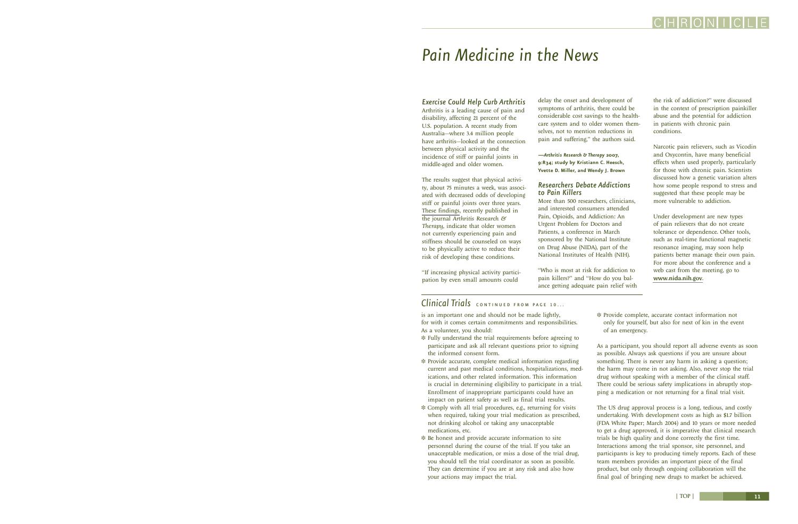# <span id="page-10-0"></span>*Pain Medicine in the News*

### *Exercise Could Help Curb Arthritis*

Arthritis is a leading cause of pain and disability, affecting 21 percent of the U.S. population. A recent study from Australia—where 3.4 million people have arthritis—looked at the connection between physical activity and the incidence of stiff or painful joints in middle-aged and older women.

The results suggest that physical activity, about 75 minutes a week, was associated with decreased odds of developing stiff or painful joints over three years. [These findings](http://arthritis-research.com/content/9/2/R34), recently published in the journal *Arthritis Research & Therapy*, indicate that older women not currently experiencing pain and stiffness should be counseled on ways to be physically active to reduce their risk of developing these conditions.

"If increasing physical activity participation by even small amounts could

delay the onset and development of symptoms of arthritis, there could be considerable cost savings to the healthcare system and to older women themselves, not to mention reductions in pain and suffering," the authors said.

**—***Arthritis Research & Therapy* **2007, 9:R34; study by Kristiann C. Heesch, Yvette D. Miller, and Wendy J. Brown**

### *Researchers Debate Addictions to Pain Killers*

More than 500 researchers, clinicians, and interested consumers attended Pain, Opioids, and Addiction: An Urgent Problem for Doctors and Patients, a conference in March sponsored by the National Institute on Drug Abuse (NIDA), part of the National Institutes of Health (NIH).

"Who is most at risk for addiction to pain killers?" and "How do you balance getting adequate pain relief with the risk of addiction?" were discussed in the context of prescription painkiller abuse and the potential for addiction in patients with chronic pain conditions.

Narcotic pain relievers, such as Vicodin and Oxycontin, have many beneficial effects when used properly, particularly for those with chronic pain. Scientists discussed how a genetic variation alters how some people respond to stress and suggested that these people may be more vulnerable to addiction.

Under development are new types of pain relievers that do not create tolerance or dependence. Other tools, such as real-time functional magnetic resonance imaging, may soon help patients better manage their own pain. For more about the conference and a web cast from the meeting, go to <www.nida.nih.gov>.

### Clinical Trials **continued** FROM PAGE 10...

is an important one and should not be made lightly, for with it comes certain commitments and responsibilities. As a volunteer, you should:

- ❉ Fully understand the trial requirements before agreeing to participate and ask all relevant questions prior to signing the informed consent form.
- ❉ Provide accurate, complete medical information regarding current and past medical conditions, hospitalizations, medications, and other related information. This information is crucial in determining eligibility to participate in a trial. Enrollment of inappropriate participants could have an impact on patient safety as well as final trial results.
- ❉ Comply with all trial procedures, e.g., returning for visits when required, taking your trial medication as prescribed, not drinking alcohol or taking any unacceptable medications, etc.
- ❉ Be honest and provide accurate information to site personnel during the course of the trial. If you take an unacceptable medication, or miss a dose of the trial drug, you should tell the trial coordinator as soon as possible. They can determine if you are at any risk and also how your actions may impact the trial.

❉ Provide complete, accurate contact information not only for yourself, but also for next of kin in the event of an emergency.

As a participant, you should report all adverse events as soon as possible. Always ask questions if you are unsure about something. There is never any harm in asking a question; the harm may come in not asking. Also, never stop the trial drug without speaking with a member of the clinical staff. There could be serious safety implications in abruptly stopping a medication or not returning for a final trial visit.

The US drug approval process is a long, tedious, and costly undertaking. With development costs as high as \$1.7 billion (FDA White Paper; March 2004) and 10 years or more needed to get a drug approved, it is imperative that clinical research trials be high quality and done correctly the first time. Interactions among the trial sponsor, site personnel, and participants is key to producing timely reports. Each of these team members provides an important piece of the final product, but only through ongoing collaboration will the final goal of bringing new drugs to market be achieved.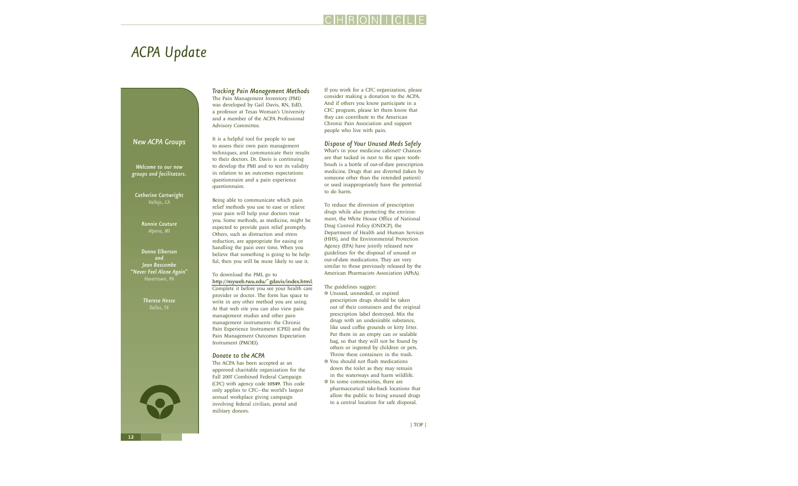### *New ACPA Groups*

<span id="page-11-0"></span>*ACPA Update*

*Welcome to our new groups and facilitators.*

*Catherine Cartwright Vallejo, CA*

> *Ronnie Couture Alpena, MI*

*Donna Elberson and Jean Bascombe "Never Feel Alone Again"*

> *Theresa Hesse Dallas, TX*

### *Tracking Pain Management Methods*

The Pain Management Inventory (PMI) was developed by Gail Davis, RN, EdD, a professor at Texas Woman's University and a member of the ACPA Professional Advisory Committee.

It is a helpful tool for people to use to assess their own pain management techniques, and communicate their results to their doctors. Dr. Davis is continuing to develop the PMI and to test its validity in relation to an outcomes expectations questionnaire and a pain experience questionnaire.

Being able to communicate which pain relief methods you use to ease or relieve your pain will help your doctors treat you. Some methods, as medicine, might be expected to provide pain relief promptly. Others, such as distraction and stress reduction, are appropriate for easing or handling the pain over time. When you believe that something is going to be helpful, then you will be more likely to use it.

To download the PMI, go to <http://myweb.twu.edu/~gdavis/index.html>. Complete it before you see your health care provider or doctor. The form has space to write in any other method you are using. At that web site you can also view pain management studies and other pain management instruments: the Chronic Pain Experience Instrument (CPEI) and the Pain Management Outcomes Expectation Instrument (PMOEI).

### *Donate to the ACPA*

The ACPA has been accepted as an approved charitable organization for the Fall 2007 Combined Federal Campaign (CFC) with agency code 10549. This code only applies to CFC—the world's largest annual workplace giving campaign involving federal civilian, postal and military donors.

If you work for a CFC organization, please consider making a donation to the ACPA. And if others you know participate in a CFC program, please let them know that they can contribute to the American Chronic Pain Association and support people who live with pain.

### *Dispose of Your Unused Meds Safely*

What's in your medicine cabinet? Chances are that tucked in next to the spare toothbrush is a bottle of out-of-date prescription medicine. Drugs that are diverted (taken by someone other than the intended patient) or used inappropriately have the potential to do harm.

To reduce the diversion of prescription drugs while also protecting the environment, the White House Office of National Drug Control Policy (ONDCP), the Department of Health and Human Services (HHS), and the Environmental Protection Agency (EPA) have jointly released new guidelines for the disposal of unused or out-of-date medications. They are very similar to those previously released by the American Pharmacists Association (APhA).

The guidelines suggest:

- ❉ Unused, unneeded, or expired prescription drugs should be taken out of their containers and the original prescription label destroyed. Mix the drugs with an undesirable substance, like used coffee grounds or kitty litter. Put them in an empty can or sealable bag, so that they will not be found by others or ingested by children or pets. Throw these containers in the trash.
- ❉ You should not flush medications down the toilet as they may remain in the waterways and harm wildlife.
- ❉ In some communities, there are pharmaceutical take-back locations that allow the public to bring unused drugs to a central location for safe disposal.

CHRONIC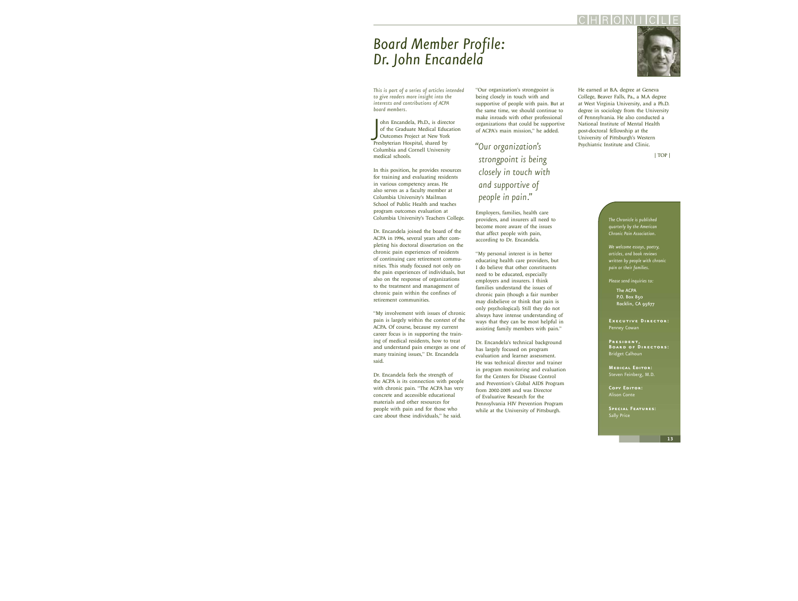# <span id="page-12-0"></span>*Board Member Profile: Dr. John Encandela*

*This is part of a series of articles intended to give readers more insight into the interests and contributions of ACPA board members.*

ohn Encandela, Ph.D., is director of the Graduate Medical Education<br>Outcomes Project at New Yor<br>Presbyterian Hospital, shared by ohn Encandela, Ph.D., is director of the Graduate Medical Education Outcomes Project at New York Columbia and Cornell University medical schools.

In this position, he provides resources for training and evaluating residents in various competency areas. He also serves as a faculty member at Columbia University's Mailman School of Public Health and teaches program outcomes evaluation at Columbia University's Teachers College.

Dr. Encandela joined the board of the ACPA in 1996, several years after completing his doctoral dissertation on the chronic pain experiences of residents of continuing care retirement communities. This study focused not only on the pain experiences of individuals, but also on the response of organizations to the treatment and management of chronic pain within the confines of retirement communities.

"My involvement with issues of chronic pain is largely within the context of the ACPA. Of course, because my current career focus is in supporting the training of medical residents, how to treat and understand pain emerges as one of many training issues," Dr. Encandela said.

Dr. Encandela feels the strength of the ACPA is its connection with people with chronic pain. "The ACPA has very concrete and accessible educational materials and other resources for people with pain and for those who care about these individuals," he said.

"Our organization's strongpoint is being closely in touch with and supportive of people with pain. But at the same time, we should continue to make inroads with other professional organizations that could be supportive of ACPA's main mission," he added.

*"Our organization's strongpoint is being closely in touch with and supportive of people in pain."*

Employers, families, health care providers, and insurers all need to become more aware of the issues that affect people with pain, according to Dr. Encandela.

"My personal interest is in better educating health care providers, but I do believe that other constituents need to be educated, especially employers and insurers. I think families understand the issues of chronic pain (though a fair number may disbelieve or think that pain is only psychological). Still they do not always have intense understanding of ways that they can be most helpful in assisting family members with pain."

Dr. Encandela's technical background has largely focused on program evaluation and learner assessment. He was technical director and trainer in program monitoring and evaluation for the Centers for Disease Control and Prevention's Global AIDS Program from 2002-2005 and was Director of Evaluative Research for the Pennsylvania HIV Prevention Program while at the University of Pittsburgh.

He earned at B.A. degree at Geneva College, Beaver Falls, Pa., a M.A degree at West Virginia University, and a Ph.D. degree in sociology from the University of Pennsylvania. He also conducted a National Institute of Mental Health post-doctoral fellowship at the University of Pittsburgh's Western Psychiatric Institute and Clinic.

[| TOP |](#page-0-1)

*The Chronicle is published quarterly by the American Chronic Pain Association.*

*We welcome essays, poetry, articles, and book reviews written by people with chronic pain or their families.*

*Please send inquiries to:*

The ACPA P.O. Box 850 Rocklin, CA 95677

**Executive Director:** Penney Cowan

**President, Board of Directors:** Bridget Calhoun

**Medical Editor:** Steven Feinberg, M.D.

**Copy Editor:** Alison Conte

**Special Features:** Sally Price